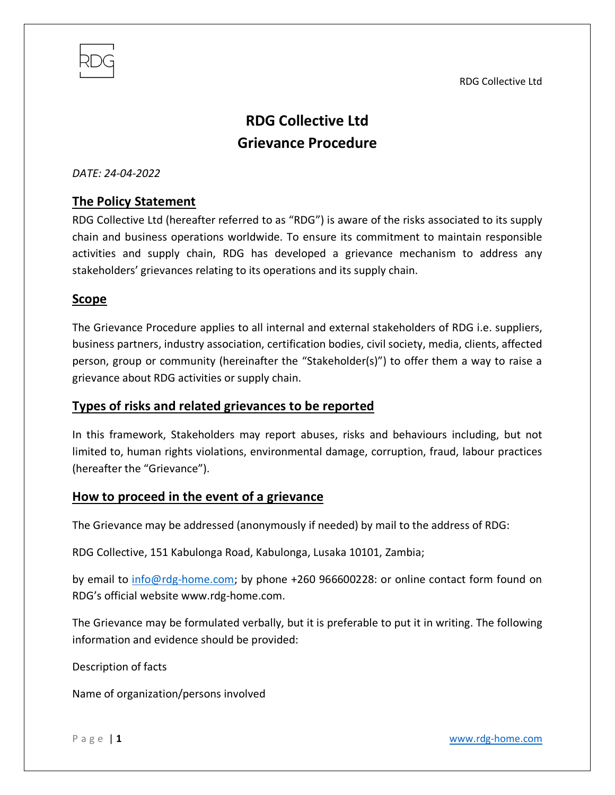RDG Collective Ltd



# **RDG Collective Ltd Grievance Procedure**

*DATE: 24-04-2022*

## **The Policy Statement**

RDG Collective Ltd (hereafter referred to as "RDG") is aware of the risks associated to its supply chain and business operations worldwide. To ensure its commitment to maintain responsible activities and supply chain, RDG has developed a grievance mechanism to address any stakeholders' grievances relating to its operations and its supply chain.

#### **Scope**

The Grievance Procedure applies to all internal and external stakeholders of RDG i.e. suppliers, business partners, industry association, certification bodies, civil society, media, clients, affected person, group or community (hereinafter the "Stakeholder(s)") to offer them a way to raise a grievance about RDG activities or supply chain.

#### **Types of risks and related grievances to be reported**

In this framework, Stakeholders may report abuses, risks and behaviours including, but not limited to, human rights violations, environmental damage, corruption, fraud, labour practices (hereafter the "Grievance").

#### **How to proceed in the event of a grievance**

The Grievance may be addressed (anonymously if needed) by mail to the address of RDG:

RDG Collective, 151 Kabulonga Road, Kabulonga, Lusaka 10101, Zambia;

by email to [info@rdg-home.com;](mailto:info@rdg-home.com) by phone +260 966600228: or online contact form found on RDG's official website www.rdg-home.com.

The Grievance may be formulated verbally, but it is preferable to put it in writing. The following information and evidence should be provided:

Description of facts

Name of organization/persons involved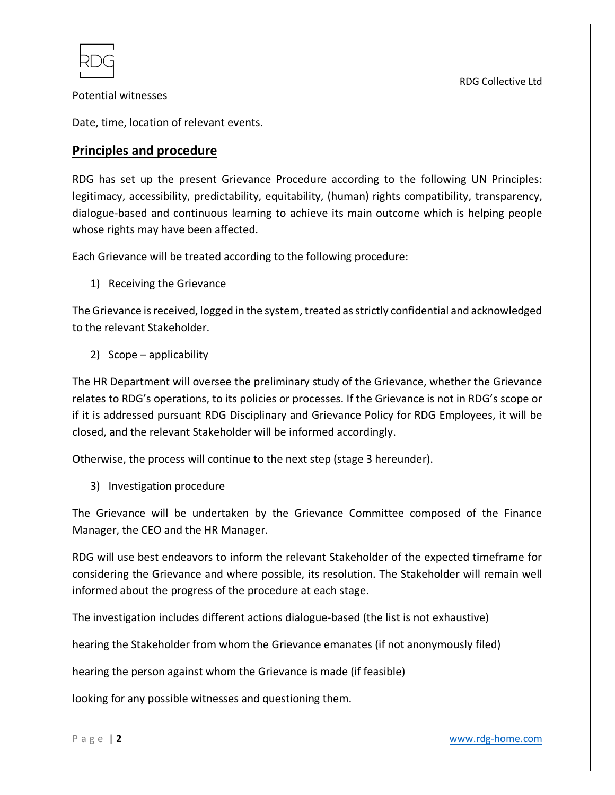Potential witnesses

Date, time, location of relevant events.

### **Principles and procedure**

RDG has set up the present Grievance Procedure according to the following UN Principles: legitimacy, accessibility, predictability, equitability, (human) rights compatibility, transparency, dialogue-based and continuous learning to achieve its main outcome which is helping people whose rights may have been affected.

Each Grievance will be treated according to the following procedure:

1) Receiving the Grievance

The Grievance is received, logged in the system, treated as strictly confidential and acknowledged to the relevant Stakeholder.

2) Scope – applicability

The HR Department will oversee the preliminary study of the Grievance, whether the Grievance relates to RDG's operations, to its policies or processes. If the Grievance is not in RDG's scope or if it is addressed pursuant RDG Disciplinary and Grievance Policy for RDG Employees, it will be closed, and the relevant Stakeholder will be informed accordingly.

Otherwise, the process will continue to the next step (stage 3 hereunder).

3) Investigation procedure

The Grievance will be undertaken by the Grievance Committee composed of the Finance Manager, the CEO and the HR Manager.

RDG will use best endeavors to inform the relevant Stakeholder of the expected timeframe for considering the Grievance and where possible, its resolution. The Stakeholder will remain well informed about the progress of the procedure at each stage.

The investigation includes different actions dialogue-based (the list is not exhaustive)

hearing the Stakeholder from whom the Grievance emanates (if not anonymously filed)

hearing the person against whom the Grievance is made (if feasible)

looking for any possible witnesses and questioning them.